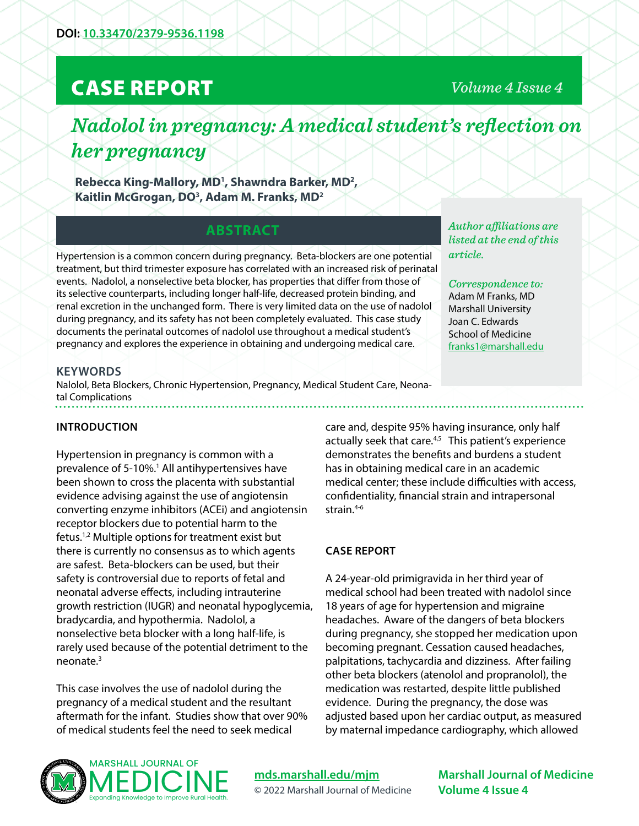## CASE REPORT

*Volume 4 Issue 4*

# *Nadolol in pregnancy: A medical student's reflection on her pregnancy*

**Rebecca King-Mallory, MD1 , Shawndra Barker, MD2 , Kaitlin McGrogan, DO3 , Adam M. Franks, MD2**

## **ABSTRACT**

Hypertension is a common concern during pregnancy. Beta-blockers are one potential treatment, but third trimester exposure has correlated with an increased risk of perinatal events. Nadolol, a nonselective beta blocker, has properties that differ from those of its selective counterparts, including longer half-life, decreased protein binding, and renal excretion in the unchanged form. There is very limited data on the use of nadolol during pregnancy, and its safety has not been completely evaluated. This case study documents the perinatal outcomes of nadolol use throughout a medical student's pregnancy and explores the experience in obtaining and undergoing medical care.

*Author affiliations are listed at the end of this article.* 

*Correspondence to:*  Adam M Franks, MD Marshall University Joan C. Edwards School of Medicine [franks1@marshall.edu](mailto:franks1%40marshall.edu?subject=)

## **KEYWORDS**

Nalolol, Beta Blockers, Chronic Hypertension, Pregnancy, Medical Student Care, Neonatal Complications

### **INTRODUCTION**

Hypertension in pregnancy is common with a prevalence of 5-10%.<sup>1</sup> All antihypertensives have been shown to cross the placenta with substantial evidence advising against the use of angiotensin converting enzyme inhibitors (ACEi) and angiotensin receptor blockers due to potential harm to the fetus.1,2 Multiple options for treatment exist but there is currently no consensus as to which agents are safest. Beta-blockers can be used, but their safety is controversial due to reports of fetal and neonatal adverse effects, including intrauterine growth restriction (IUGR) and neonatal hypoglycemia, bradycardia, and hypothermia. Nadolol, a nonselective beta blocker with a long half-life, is rarely used because of the potential detriment to the neonate.3

This case involves the use of nadolol during the pregnancy of a medical student and the resultant aftermath for the infant. Studies show that over 90% of medical students feel the need to seek medical

care and, despite 95% having insurance, only half actually seek that care.<sup>4,5</sup> This patient's experience demonstrates the benefits and burdens a student has in obtaining medical care in an academic medical center; these include difficulties with access, confidentiality, financial strain and intrapersonal strain.<sup>4-6</sup>

### **CASE REPORT**

A 24-year-old primigravida in her third year of medical school had been treated with nadolol since 18 years of age for hypertension and migraine headaches. Aware of the dangers of beta blockers during pregnancy, she stopped her medication upon becoming pregnant. Cessation caused headaches, palpitations, tachycardia and dizziness. After failing other beta blockers (atenolol and propranolol), the medication was restarted, despite little published evidence. During the pregnancy, the dose was adjusted based upon her cardiac output, as measured by maternal impedance cardiography, which allowed



## **[mds.marshall.edu/mjm](https://mds.marshall.edu/mjm/)** © 2022 Marshall Journal of Medicine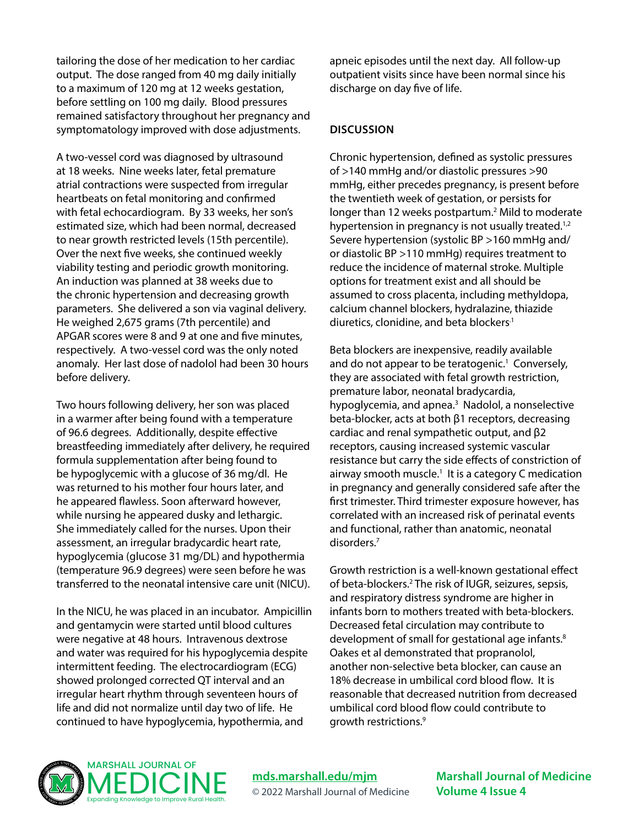tailoring the dose of her medication to her cardiac output. The dose ranged from 40 mg daily initially to a maximum of 120 mg at 12 weeks gestation, before settling on 100 mg daily. Blood pressures remained satisfactory throughout her pregnancy and symptomatology improved with dose adjustments.

A two-vessel cord was diagnosed by ultrasound at 18 weeks. Nine weeks later, fetal premature atrial contractions were suspected from irregular heartbeats on fetal monitoring and confirmed with fetal echocardiogram. By 33 weeks, her son's estimated size, which had been normal, decreased to near growth restricted levels (15th percentile). Over the next five weeks, she continued weekly viability testing and periodic growth monitoring. An induction was planned at 38 weeks due to the chronic hypertension and decreasing growth parameters. She delivered a son via vaginal delivery. He weighed 2,675 grams (7th percentile) and APGAR scores were 8 and 9 at one and five minutes, respectively. A two-vessel cord was the only noted anomaly. Her last dose of nadolol had been 30 hours before delivery.

Two hours following delivery, her son was placed in a warmer after being found with a temperature of 96.6 degrees. Additionally, despite effective breastfeeding immediately after delivery, he required formula supplementation after being found to be hypoglycemic with a glucose of 36 mg/dl. He was returned to his mother four hours later, and he appeared flawless. Soon afterward however, while nursing he appeared dusky and lethargic. She immediately called for the nurses. Upon their assessment, an irregular bradycardic heart rate, hypoglycemia (glucose 31 mg/DL) and hypothermia (temperature 96.9 degrees) were seen before he was transferred to the neonatal intensive care unit (NICU).

In the NICU, he was placed in an incubator. Ampicillin and gentamycin were started until blood cultures were negative at 48 hours. Intravenous dextrose and water was required for his hypoglycemia despite intermittent feeding. The electrocardiogram (ECG) showed prolonged corrected QT interval and an irregular heart rhythm through seventeen hours of life and did not normalize until day two of life. He continued to have hypoglycemia, hypothermia, and

apneic episodes until the next day. All follow-up outpatient visits since have been normal since his discharge on day five of life.

#### **DISCUSSION**

Chronic hypertension, defined as systolic pressures of >140 mmHg and/or diastolic pressures >90 mmHg, either precedes pregnancy, is present before the twentieth week of gestation, or persists for longer than 12 weeks postpartum.<sup>2</sup> Mild to moderate hypertension in pregnancy is not usually treated.<sup>1,2</sup> Severe hypertension (systolic BP >160 mmHg and/ or diastolic BP >110 mmHg) requires treatment to reduce the incidence of maternal stroke. Multiple options for treatment exist and all should be assumed to cross placenta, including methyldopa, calcium channel blockers, hydralazine, thiazide diuretics, clonidine, and beta blockers<sup>1</sup>

Beta blockers are inexpensive, readily available and do not appear to be teratogenic.<sup>1</sup> Conversely, they are associated with fetal growth restriction, premature labor, neonatal bradycardia, hypoglycemia, and apnea.<sup>3</sup> Nadolol, a nonselective beta-blocker, acts at both β1 receptors, decreasing cardiac and renal sympathetic output, and β2 receptors, causing increased systemic vascular resistance but carry the side effects of constriction of airway smooth muscle.<sup>1</sup> It is a category C medication in pregnancy and generally considered safe after the first trimester. Third trimester exposure however, has correlated with an increased risk of perinatal events and functional, rather than anatomic, neonatal disorders.7

Growth restriction is a well-known gestational effect of beta-blockers.<sup>2</sup> The risk of IUGR, seizures, sepsis, and respiratory distress syndrome are higher in infants born to mothers treated with beta-blockers. Decreased fetal circulation may contribute to development of small for gestational age infants.<sup>8</sup> Oakes et al demonstrated that propranolol, another non-selective beta blocker, can cause an 18% decrease in umbilical cord blood flow. It is reasonable that decreased nutrition from decreased umbilical cord blood flow could contribute to growth restrictions.9



**[mds.marshall.edu/mjm](https://mds.marshall.edu/mjm/)** © 2022 Marshall Journal of Medicine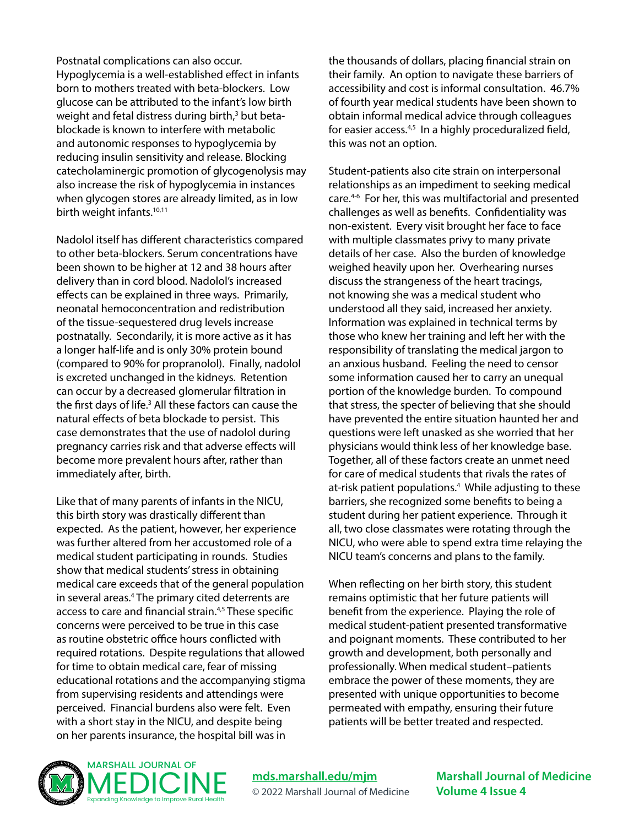Postnatal complications can also occur. Hypoglycemia is a well-established effect in infants born to mothers treated with beta-blockers. Low glucose can be attributed to the infant's low birth weight and fetal distress during birth,<sup>3</sup> but betablockade is known to interfere with metabolic and autonomic responses to hypoglycemia by reducing insulin sensitivity and release. Blocking catecholaminergic promotion of glycogenolysis may also increase the risk of hypoglycemia in instances when glycogen stores are already limited, as in low birth weight infants.<sup>10,11</sup>

Nadolol itself has different characteristics compared to other beta-blockers. Serum concentrations have been shown to be higher at 12 and 38 hours after delivery than in cord blood. Nadolol's increased effects can be explained in three ways. Primarily, neonatal hemoconcentration and redistribution of the tissue-sequestered drug levels increase postnatally. Secondarily, it is more active as it has a longer half-life and is only 30% protein bound (compared to 90% for propranolol). Finally, nadolol is excreted unchanged in the kidneys. Retention can occur by a decreased glomerular filtration in the first days of life.<sup>3</sup> All these factors can cause the natural effects of beta blockade to persist. This case demonstrates that the use of nadolol during pregnancy carries risk and that adverse effects will become more prevalent hours after, rather than immediately after, birth.

Like that of many parents of infants in the NICU, this birth story was drastically different than expected. As the patient, however, her experience was further altered from her accustomed role of a medical student participating in rounds. Studies show that medical students' stress in obtaining medical care exceeds that of the general population in several areas.<sup>4</sup> The primary cited deterrents are access to care and financial strain.4,5 These specific concerns were perceived to be true in this case as routine obstetric office hours conflicted with required rotations. Despite regulations that allowed for time to obtain medical care, fear of missing educational rotations and the accompanying stigma from supervising residents and attendings were perceived. Financial burdens also were felt. Even with a short stay in the NICU, and despite being on her parents insurance, the hospital bill was in

the thousands of dollars, placing financial strain on their family. An option to navigate these barriers of accessibility and cost is informal consultation. 46.7% of fourth year medical students have been shown to obtain informal medical advice through colleagues for easier access. $4,5$  In a highly proceduralized field, this was not an option.

Student-patients also cite strain on interpersonal relationships as an impediment to seeking medical care.4-6 For her, this was multifactorial and presented challenges as well as benefits. Confidentiality was non-existent. Every visit brought her face to face with multiple classmates privy to many private details of her case. Also the burden of knowledge weighed heavily upon her. Overhearing nurses discuss the strangeness of the heart tracings, not knowing she was a medical student who understood all they said, increased her anxiety. Information was explained in technical terms by those who knew her training and left her with the responsibility of translating the medical jargon to an anxious husband. Feeling the need to censor some information caused her to carry an unequal portion of the knowledge burden. To compound that stress, the specter of believing that she should have prevented the entire situation haunted her and questions were left unasked as she worried that her physicians would think less of her knowledge base. Together, all of these factors create an unmet need for care of medical students that rivals the rates of at-risk patient populations.<sup>4</sup> While adjusting to these barriers, she recognized some benefits to being a student during her patient experience. Through it all, two close classmates were rotating through the NICU, who were able to spend extra time relaying the NICU team's concerns and plans to the family.

When reflecting on her birth story, this student remains optimistic that her future patients will benefit from the experience. Playing the role of medical student-patient presented transformative and poignant moments. These contributed to her growth and development, both personally and professionally. When medical student–patients embrace the power of these moments, they are presented with unique opportunities to become permeated with empathy, ensuring their future patients will be better treated and respected.



**[mds.marshall.edu/mjm](https://mds.marshall.edu/mjm/)** © 2022 Marshall Journal of Medicine